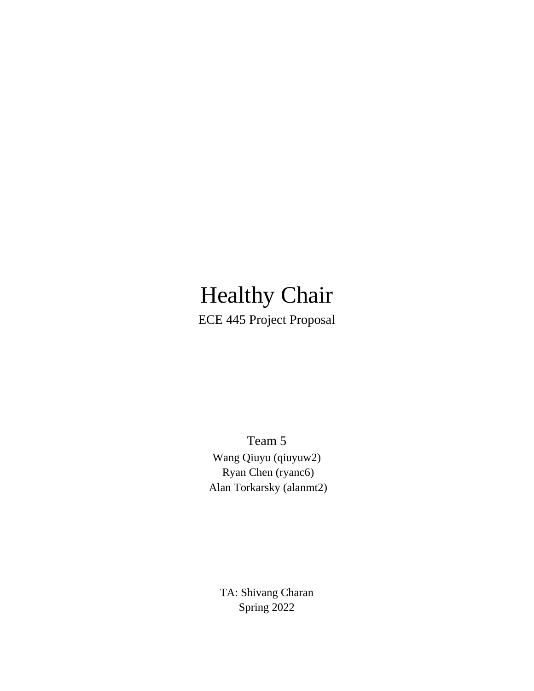# Healthy Chair

ECE 445 Project Proposal

Team 5 Wang Qiuyu (qiuyuw2) Ryan Chen (ryanc6) Alan Torkarsky (alanmt2)

TA: Shivang Charan Spring 2022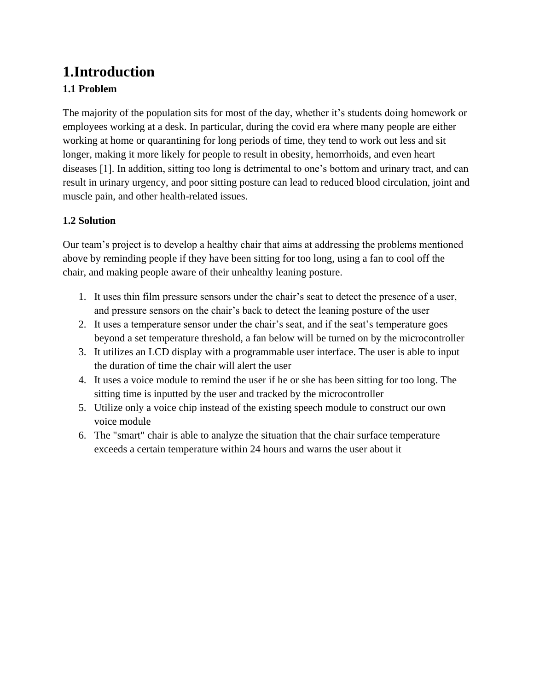# **1.Introduction 1.1 Problem**

The majority of the population sits for most of the day, whether it's students doing homework or employees working at a desk. In particular, during the covid era where many people are either working at home or quarantining for long periods of time, they tend to work out less and sit longer, making it more likely for people to result in obesity, hemorrhoids, and even heart diseases [1]. In addition, sitting too long is detrimental to one's bottom and urinary tract, and can result in urinary urgency, and poor sitting posture can lead to reduced blood circulation, joint and muscle pain, and other health-related issues.

### **1.2 Solution**

Our team's project is to develop a healthy chair that aims at addressing the problems mentioned above by reminding people if they have been sitting for too long, using a fan to cool off the chair, and making people aware of their unhealthy leaning posture.

- 1. It uses thin film pressure sensors under the chair's seat to detect the presence of a user, and pressure sensors on the chair's back to detect the leaning posture of the user
- 2. It uses a temperature sensor under the chair's seat, and if the seat's temperature goes beyond a set temperature threshold, a fan below will be turned on by the microcontroller
- 3. It utilizes an LCD display with a programmable user interface. The user is able to input the duration of time the chair will alert the user
- 4. It uses a voice module to remind the user if he or she has been sitting for too long. The sitting time is inputted by the user and tracked by the microcontroller
- 5. Utilize only a voice chip instead of the existing speech module to construct our own voice module
- 6. The "smart" chair is able to analyze the situation that the chair surface temperature exceeds a certain temperature within 24 hours and warns the user about it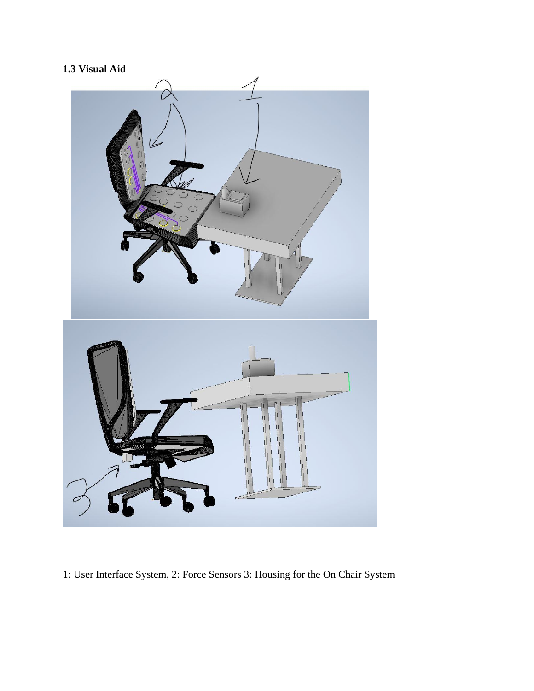# **1.3 Visual Aid**



1: User Interface System, 2: Force Sensors 3: Housing for the On Chair System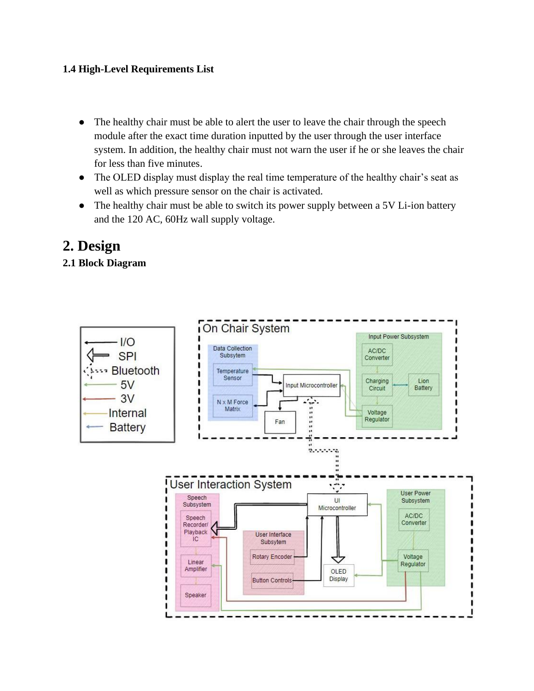### **1.4 High-Level Requirements List**

- The healthy chair must be able to alert the user to leave the chair through the speech module after the exact time duration inputted by the user through the user interface system. In addition, the healthy chair must not warn the user if he or she leaves the chair for less than five minutes.
- The OLED display must display the real time temperature of the healthy chair's seat as well as which pressure sensor on the chair is activated.
- The healthy chair must be able to switch its power supply between a 5V Li-ion battery and the 120 AC, 60Hz wall supply voltage.

# **2. Design**

### **2.1 Block Diagram**

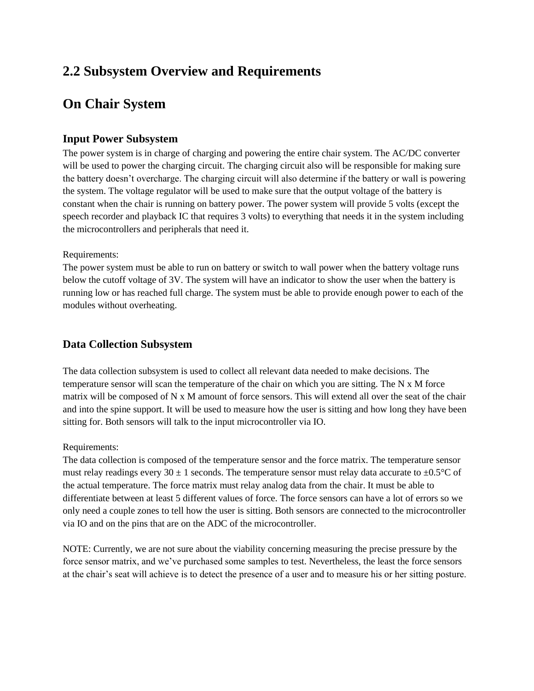# **2.2 Subsystem Overview and Requirements**

# **On Chair System**

### **Input Power Subsystem**

The power system is in charge of charging and powering the entire chair system. The AC/DC converter will be used to power the charging circuit. The charging circuit also will be responsible for making sure the battery doesn't overcharge. The charging circuit will also determine if the battery or wall is powering the system. The voltage regulator will be used to make sure that the output voltage of the battery is constant when the chair is running on battery power. The power system will provide 5 volts (except the speech recorder and playback IC that requires 3 volts) to everything that needs it in the system including the microcontrollers and peripherals that need it.

#### Requirements:

The power system must be able to run on battery or switch to wall power when the battery voltage runs below the cutoff voltage of 3V. The system will have an indicator to show the user when the battery is running low or has reached full charge. The system must be able to provide enough power to each of the modules without overheating.

### **Data Collection Subsystem**

The data collection subsystem is used to collect all relevant data needed to make decisions. The temperature sensor will scan the temperature of the chair on which you are sitting. The N x M force matrix will be composed of N x M amount of force sensors. This will extend all over the seat of the chair and into the spine support. It will be used to measure how the user is sitting and how long they have been sitting for. Both sensors will talk to the input microcontroller via IO.

#### Requirements:

The data collection is composed of the temperature sensor and the force matrix. The temperature sensor must relay readings every 30  $\pm$  1 seconds. The temperature sensor must relay data accurate to  $\pm$ 0.5°C of the actual temperature. The force matrix must relay analog data from the chair. It must be able to differentiate between at least 5 different values of force. The force sensors can have a lot of errors so we only need a couple zones to tell how the user is sitting. Both sensors are connected to the microcontroller via IO and on the pins that are on the ADC of the microcontroller.

NOTE: Currently, we are not sure about the viability concerning measuring the precise pressure by the force sensor matrix, and we've purchased some samples to test. Nevertheless, the least the force sensors at the chair's seat will achieve is to detect the presence of a user and to measure his or her sitting posture.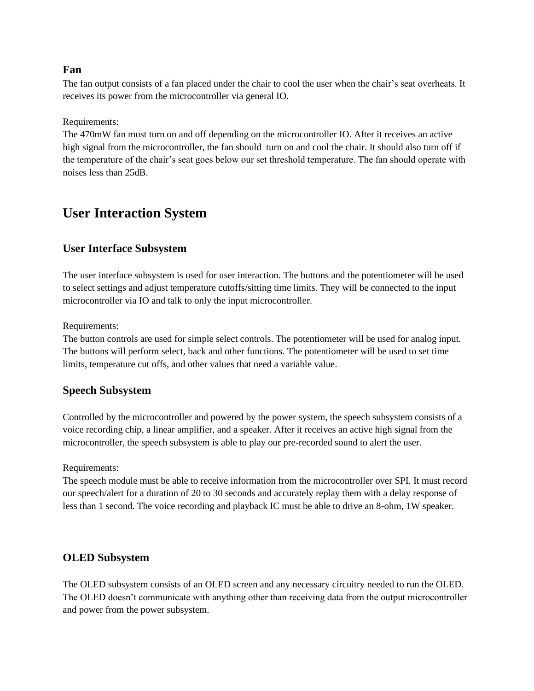#### **Fan**

The fan output consists of a fan placed under the chair to cool the user when the chair's seat overheats. It receives its power from the microcontroller via general IO.

Requirements:

The 470mW fan must turn on and off depending on the microcontroller IO. After it receives an active high signal from the microcontroller, the fan should turn on and cool the chair. It should also turn off if the temperature of the chair's seat goes below our set threshold temperature. The fan should operate with noises less than 25dB.

### **User Interaction System**

### **User Interface Subsystem**

The user interface subsystem is used for user interaction. The buttons and the potentiometer will be used to select settings and adjust temperature cutoffs/sitting time limits. They will be connected to the input microcontroller via IO and talk to only the input microcontroller.

Requirements:

The button controls are used for simple select controls. The potentiometer will be used for analog input. The buttons will perform select, back and other functions. The potentiometer will be used to set time limits, temperature cut offs, and other values that need a variable value.

### **Speech Subsystem**

Controlled by the microcontroller and powered by the power system, the speech subsystem consists of a voice recording chip, a linear amplifier, and a speaker. After it receives an active high signal from the microcontroller, the speech subsystem is able to play our pre-recorded sound to alert the user.

Requirements:

The speech module must be able to receive information from the microcontroller over SPI. It must record our speech/alert for a duration of 20 to 30 seconds and accurately replay them with a delay response of less than 1 second. The voice recording and playback IC must be able to drive an 8-ohm, 1W speaker.

#### **OLED Subsystem**

The OLED subsystem consists of an OLED screen and any necessary circuitry needed to run the OLED. The OLED doesn't communicate with anything other than receiving data from the output microcontroller and power from the power subsystem.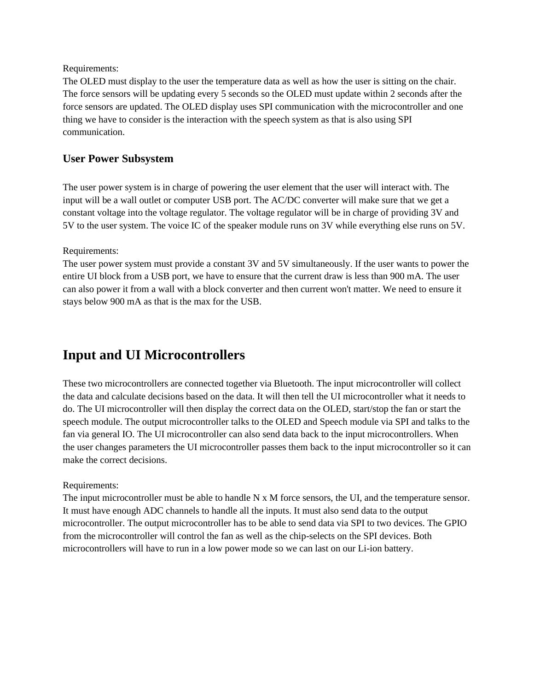#### Requirements:

The OLED must display to the user the temperature data as well as how the user is sitting on the chair. The force sensors will be updating every 5 seconds so the OLED must update within 2 seconds after the force sensors are updated. The OLED display uses SPI communication with the microcontroller and one thing we have to consider is the interaction with the speech system as that is also using SPI communication.

#### **User Power Subsystem**

The user power system is in charge of powering the user element that the user will interact with. The input will be a wall outlet or computer USB port. The AC/DC converter will make sure that we get a constant voltage into the voltage regulator. The voltage regulator will be in charge of providing 3V and 5V to the user system. The voice IC of the speaker module runs on 3V while everything else runs on 5V.

#### Requirements:

The user power system must provide a constant 3V and 5V simultaneously. If the user wants to power the entire UI block from a USB port, we have to ensure that the current draw is less than 900 mA. The user can also power it from a wall with a block converter and then current won't matter. We need to ensure it stays below 900 mA as that is the max for the USB.

### **Input and UI Microcontrollers**

These two microcontrollers are connected together via Bluetooth. The input microcontroller will collect the data and calculate decisions based on the data. It will then tell the UI microcontroller what it needs to do. The UI microcontroller will then display the correct data on the OLED, start/stop the fan or start the speech module. The output microcontroller talks to the OLED and Speech module via SPI and talks to the fan via general IO. The UI microcontroller can also send data back to the input microcontrollers. When the user changes parameters the UI microcontroller passes them back to the input microcontroller so it can make the correct decisions.

#### Requirements:

The input microcontroller must be able to handle N x M force sensors, the UI, and the temperature sensor. It must have enough ADC channels to handle all the inputs. It must also send data to the output microcontroller. The output microcontroller has to be able to send data via SPI to two devices. The GPIO from the microcontroller will control the fan as well as the chip-selects on the SPI devices. Both microcontrollers will have to run in a low power mode so we can last on our Li-ion battery.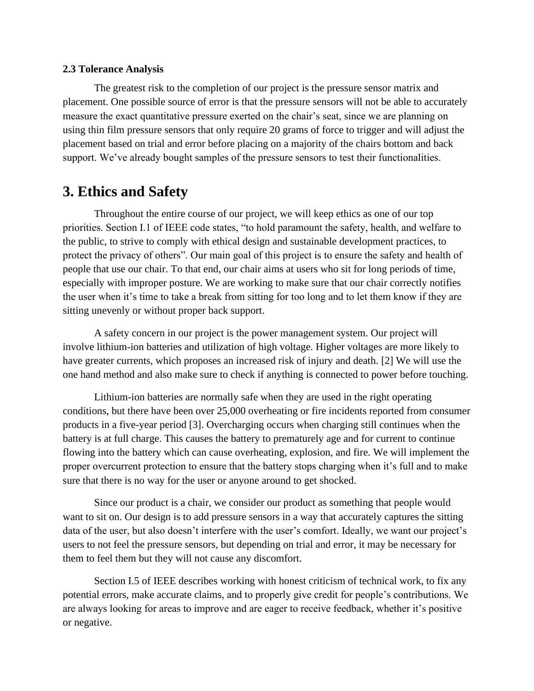#### **2.3 Tolerance Analysis**

The greatest risk to the completion of our project is the pressure sensor matrix and placement. One possible source of error is that the pressure sensors will not be able to accurately measure the exact quantitative pressure exerted on the chair's seat, since we are planning on using thin film pressure sensors that only require 20 grams of force to trigger and will adjust the placement based on trial and error before placing on a majority of the chairs bottom and back support. We've already bought samples of the pressure sensors to test their functionalities.

### **3. Ethics and Safety**

Throughout the entire course of our project, we will keep ethics as one of our top priorities. Section I.1 of IEEE code states, "to hold paramount the safety, health, and welfare to the public, to strive to comply with ethical design and sustainable development practices, to protect the privacy of others". Our main goal of this project is to ensure the safety and health of people that use our chair. To that end, our chair aims at users who sit for long periods of time, especially with improper posture. We are working to make sure that our chair correctly notifies the user when it's time to take a break from sitting for too long and to let them know if they are sitting unevenly or without proper back support.

A safety concern in our project is the power management system. Our project will involve lithium-ion batteries and utilization of high voltage. Higher voltages are more likely to have greater currents, which proposes an increased risk of injury and death. [2] We will use the one hand method and also make sure to check if anything is connected to power before touching.

Lithium-ion batteries are normally safe when they are used in the right operating conditions, but there have been over 25,000 overheating or fire incidents reported from consumer products in a five-year period [3]. Overcharging occurs when charging still continues when the battery is at full charge. This causes the battery to prematurely age and for current to continue flowing into the battery which can cause overheating, explosion, and fire. We will implement the proper overcurrent protection to ensure that the battery stops charging when it's full and to make sure that there is no way for the user or anyone around to get shocked.

Since our product is a chair, we consider our product as something that people would want to sit on. Our design is to add pressure sensors in a way that accurately captures the sitting data of the user, but also doesn't interfere with the user's comfort. Ideally, we want our project's users to not feel the pressure sensors, but depending on trial and error, it may be necessary for them to feel them but they will not cause any discomfort.

Section I.5 of IEEE describes working with honest criticism of technical work, to fix any potential errors, make accurate claims, and to properly give credit for people's contributions. We are always looking for areas to improve and are eager to receive feedback, whether it's positive or negative.